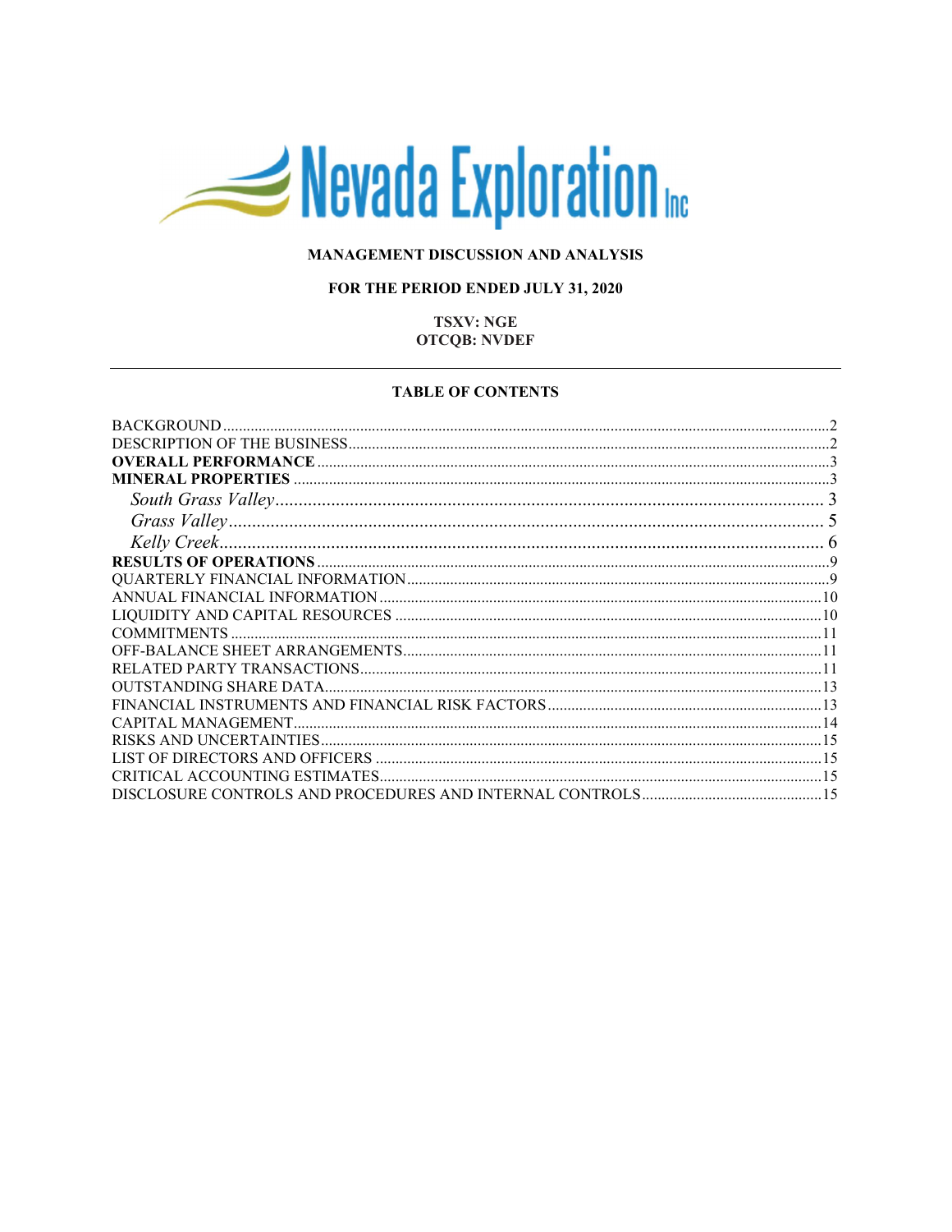# Nevada Exploration

# MANAGEMENT DISCUSSION AND ANALYSIS

# FOR THE PERIOD ENDED JULY 31, 2020

# **TSXV: NGE OTCQB: NVDEF**

#### **TABLE OF CONTENTS**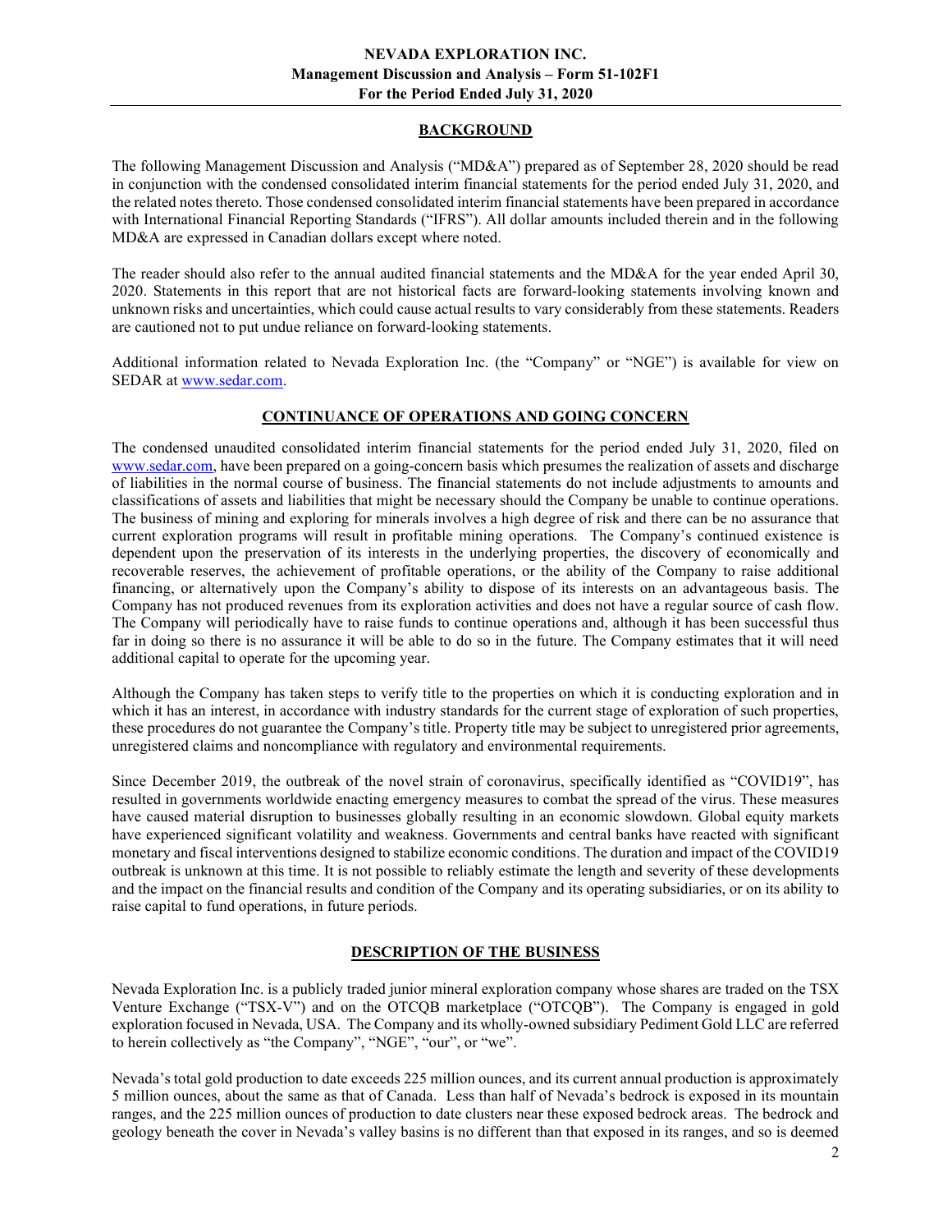# BACKGROUND

The following Management Discussion and Analysis ("MD&A") prepared as of September 28, 2020 should be read in conjunction with the condensed consolidated interim financial statements for the period ended July 31, 2020, and the related notes thereto. Those condensed consolidated interim financial statements have been prepared in accordance with International Financial Reporting Standards ("IFRS"). All dollar amounts included therein and in the following MD&A are expressed in Canadian dollars except where noted.

The reader should also refer to the annual audited financial statements and the MD&A for the year ended April 30, 2020. Statements in this report that are not historical facts are forward-looking statements involving known and unknown risks and uncertainties, which could cause actual results to vary considerably from these statements. Readers are cautioned not to put undue reliance on forward-looking statements.

Additional information related to Nevada Exploration Inc. (the "Company" or "NGE") is available for view on SEDAR at www.sedar.com.

# CONTINUANCE OF OPERATIONS AND GOING CONCERN

The condensed unaudited consolidated interim financial statements for the period ended July 31, 2020, filed on www.sedar.com, have been prepared on a going-concern basis which presumes the realization of assets and discharge of liabilities in the normal course of business. The financial statements do not include adjustments to amounts and classifications of assets and liabilities that might be necessary should the Company be unable to continue operations. The business of mining and exploring for minerals involves a high degree of risk and there can be no assurance that current exploration programs will result in profitable mining operations. The Company's continued existence is dependent upon the preservation of its interests in the underlying properties, the discovery of economically and recoverable reserves, the achievement of profitable operations, or the ability of the Company to raise additional financing, or alternatively upon the Company's ability to dispose of its interests on an advantageous basis. The Company has not produced revenues from its exploration activities and does not have a regular source of cash flow. The Company will periodically have to raise funds to continue operations and, although it has been successful thus far in doing so there is no assurance it will be able to do so in the future. The Company estimates that it will need additional capital to operate for the upcoming year.

Although the Company has taken steps to verify title to the properties on which it is conducting exploration and in which it has an interest, in accordance with industry standards for the current stage of exploration of such properties, these procedures do not guarantee the Company's title. Property title may be subject to unregistered prior agreements, unregistered claims and noncompliance with regulatory and environmental requirements.

Since December 2019, the outbreak of the novel strain of coronavirus, specifically identified as "COVID19", has resulted in governments worldwide enacting emergency measures to combat the spread of the virus. These measures have caused material disruption to businesses globally resulting in an economic slowdown. Global equity markets have experienced significant volatility and weakness. Governments and central banks have reacted with significant monetary and fiscal interventions designed to stabilize economic conditions. The duration and impact of the COVID19 outbreak is unknown at this time. It is not possible to reliably estimate the length and severity of these developments and the impact on the financial results and condition of the Company and its operating subsidiaries, or on its ability to raise capital to fund operations, in future periods.

# DESCRIPTION OF THE BUSINESS

Nevada Exploration Inc. is a publicly traded junior mineral exploration company whose shares are traded on the TSX Venture Exchange ("TSX-V") and on the OTCQB marketplace ("OTCQB"). The Company is engaged in gold exploration focused in Nevada, USA. The Company and its wholly-owned subsidiary Pediment Gold LLC are referred to herein collectively as "the Company", "NGE", "our", or "we".

Nevada's total gold production to date exceeds 225 million ounces, and its current annual production is approximately 5 million ounces, about the same as that of Canada. Less than half of Nevada's bedrock is exposed in its mountain ranges, and the 225 million ounces of production to date clusters near these exposed bedrock areas. The bedrock and geology beneath the cover in Nevada's valley basins is no different than that exposed in its ranges, and so is deemed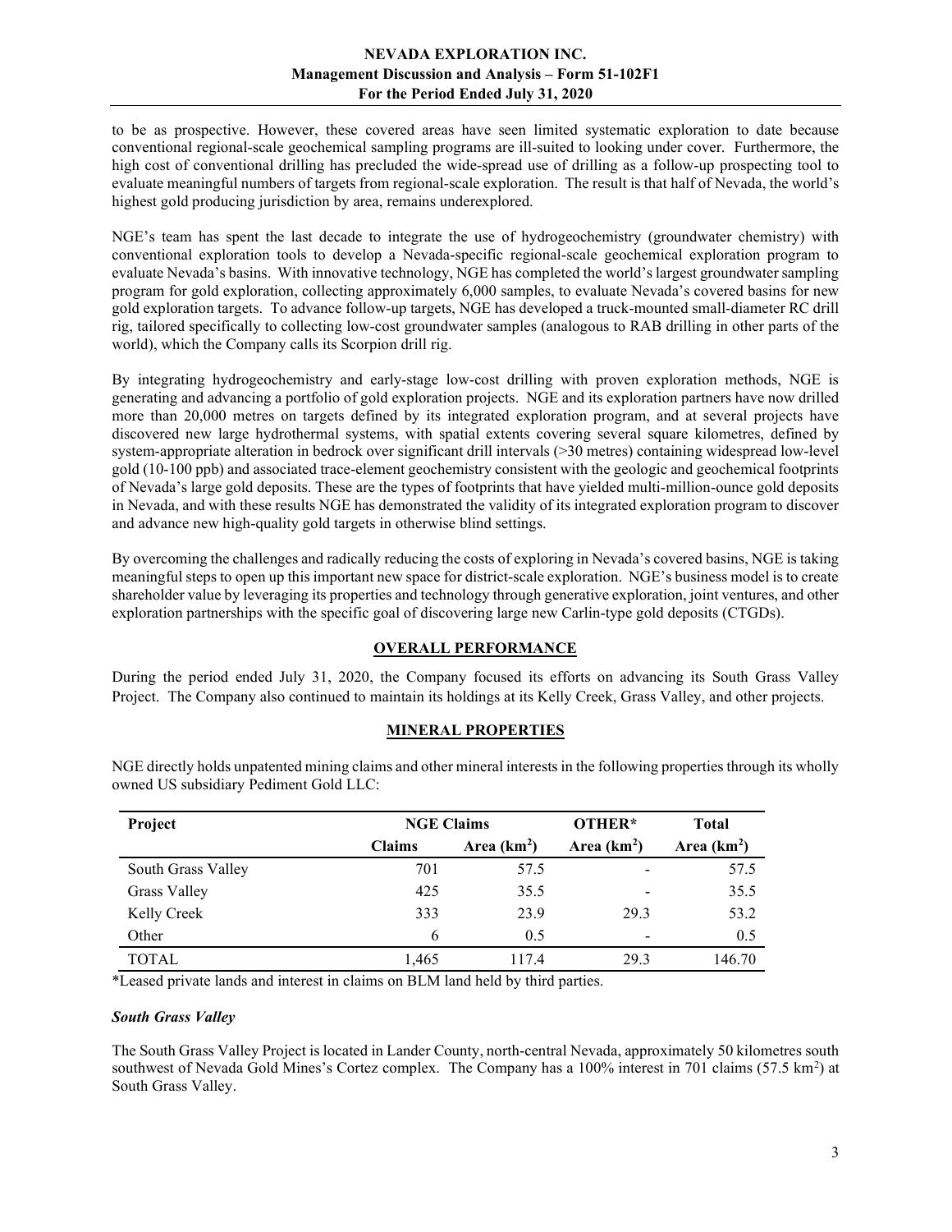to be as prospective. However, these covered areas have seen limited systematic exploration to date because conventional regional-scale geochemical sampling programs are ill-suited to looking under cover. Furthermore, the high cost of conventional drilling has precluded the wide-spread use of drilling as a follow-up prospecting tool to evaluate meaningful numbers of targets from regional-scale exploration. The result is that half of Nevada, the world's highest gold producing jurisdiction by area, remains underexplored.

NGE's team has spent the last decade to integrate the use of hydrogeochemistry (groundwater chemistry) with conventional exploration tools to develop a Nevada-specific regional-scale geochemical exploration program to evaluate Nevada's basins. With innovative technology, NGE has completed the world's largest groundwater sampling program for gold exploration, collecting approximately 6,000 samples, to evaluate Nevada's covered basins for new gold exploration targets. To advance follow-up targets, NGE has developed a truck-mounted small-diameter RC drill rig, tailored specifically to collecting low-cost groundwater samples (analogous to RAB drilling in other parts of the world), which the Company calls its Scorpion drill rig.

By integrating hydrogeochemistry and early-stage low-cost drilling with proven exploration methods, NGE is generating and advancing a portfolio of gold exploration projects. NGE and its exploration partners have now drilled more than 20,000 metres on targets defined by its integrated exploration program, and at several projects have discovered new large hydrothermal systems, with spatial extents covering several square kilometres, defined by system-appropriate alteration in bedrock over significant drill intervals (>30 metres) containing widespread low-level gold (10-100 ppb) and associated trace-element geochemistry consistent with the geologic and geochemical footprints of Nevada's large gold deposits. These are the types of footprints that have yielded multi-million-ounce gold deposits in Nevada, and with these results NGE has demonstrated the validity of its integrated exploration program to discover and advance new high-quality gold targets in otherwise blind settings.

By overcoming the challenges and radically reducing the costs of exploring in Nevada's covered basins, NGE is taking meaningful steps to open up this important new space for district-scale exploration. NGE's business model is to create shareholder value by leveraging its properties and technology through generative exploration, joint ventures, and other exploration partnerships with the specific goal of discovering large new Carlin-type gold deposits (CTGDs).

# OVERALL PERFORMANCE

During the period ended July 31, 2020, the Company focused its efforts on advancing its South Grass Valley Project. The Company also continued to maintain its holdings at its Kelly Creek, Grass Valley, and other projects.

# MINERAL PROPERTIES

| Project            | <b>NGE Claims</b> |              | OTHER*                   | <b>Total</b> |
|--------------------|-------------------|--------------|--------------------------|--------------|
|                    | <b>Claims</b>     | Area $(km2)$ | Area $(km2)$             | Area $(km2)$ |
| South Grass Valley | 701               | 57.5         | ۰                        | 57.5         |
| Grass Valley       | 425               | 35.5         | $\overline{\phantom{0}}$ | 35.5         |
| Kelly Creek        | 333               | 23.9         | 29.3                     | 53.2         |
| Other              | 6                 | 0.5          | $\overline{\phantom{0}}$ | 0.5          |
| <b>TOTAL</b>       | 1,465             | 117.4        | 29.3                     | 146.70       |

NGE directly holds unpatented mining claims and other mineral interests in the following properties through its wholly owned US subsidiary Pediment Gold LLC:

\*Leased private lands and interest in claims on BLM land held by third parties.

#### South Grass Valley

The South Grass Valley Project is located in Lander County, north-central Nevada, approximately 50 kilometres south southwest of Nevada Gold Mines's Cortez complex. The Company has a 100% interest in 701 claims (57.5 km<sup>2</sup>) at South Grass Valley.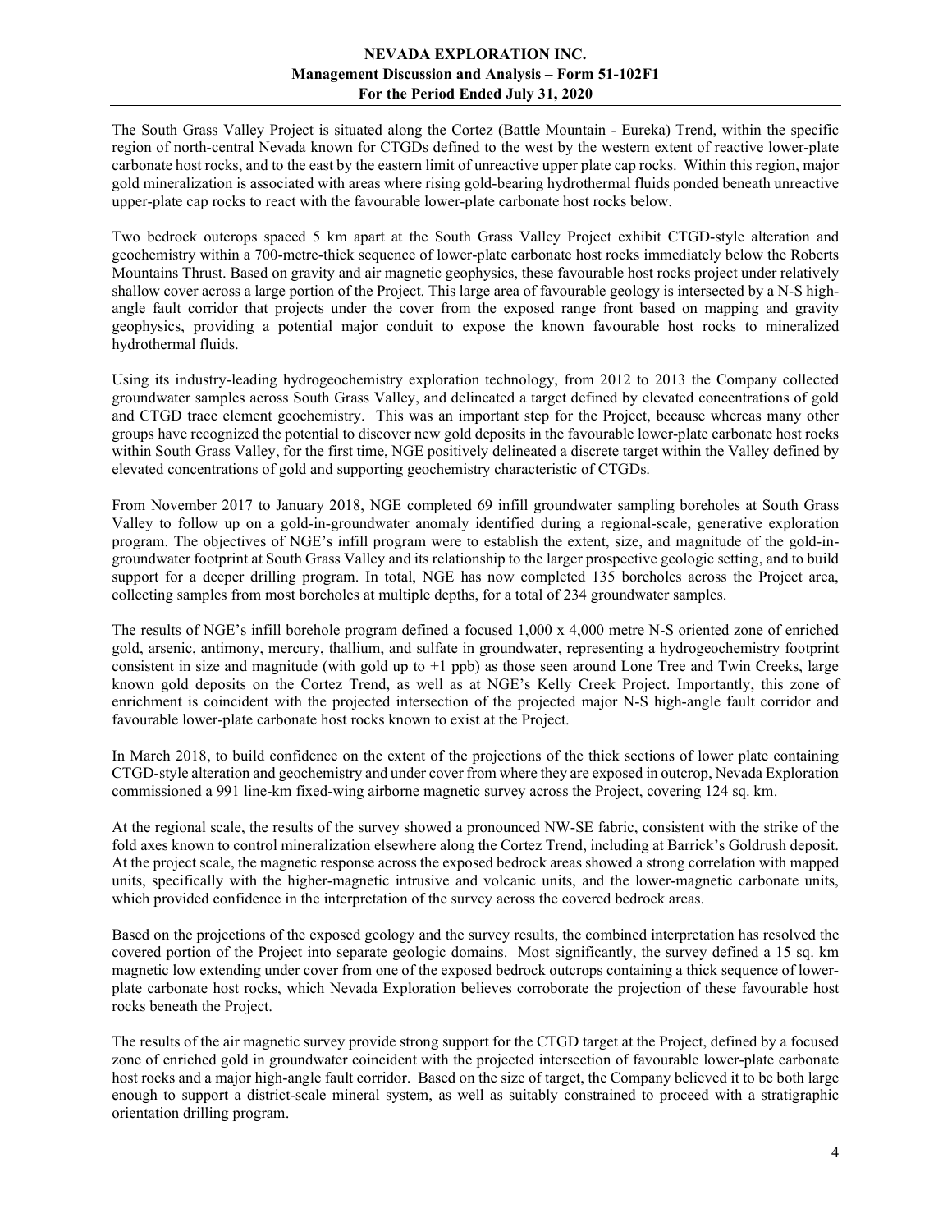The South Grass Valley Project is situated along the Cortez (Battle Mountain - Eureka) Trend, within the specific region of north-central Nevada known for CTGDs defined to the west by the western extent of reactive lower-plate carbonate host rocks, and to the east by the eastern limit of unreactive upper plate cap rocks. Within this region, major gold mineralization is associated with areas where rising gold-bearing hydrothermal fluids ponded beneath unreactive upper-plate cap rocks to react with the favourable lower-plate carbonate host rocks below.

Two bedrock outcrops spaced 5 km apart at the South Grass Valley Project exhibit CTGD-style alteration and geochemistry within a 700-metre-thick sequence of lower-plate carbonate host rocks immediately below the Roberts Mountains Thrust. Based on gravity and air magnetic geophysics, these favourable host rocks project under relatively shallow cover across a large portion of the Project. This large area of favourable geology is intersected by a N-S highangle fault corridor that projects under the cover from the exposed range front based on mapping and gravity geophysics, providing a potential major conduit to expose the known favourable host rocks to mineralized hydrothermal fluids.

Using its industry-leading hydrogeochemistry exploration technology, from 2012 to 2013 the Company collected groundwater samples across South Grass Valley, and delineated a target defined by elevated concentrations of gold and CTGD trace element geochemistry. This was an important step for the Project, because whereas many other groups have recognized the potential to discover new gold deposits in the favourable lower-plate carbonate host rocks within South Grass Valley, for the first time, NGE positively delineated a discrete target within the Valley defined by elevated concentrations of gold and supporting geochemistry characteristic of CTGDs.

From November 2017 to January 2018, NGE completed 69 infill groundwater sampling boreholes at South Grass Valley to follow up on a gold-in-groundwater anomaly identified during a regional-scale, generative exploration program. The objectives of NGE's infill program were to establish the extent, size, and magnitude of the gold-ingroundwater footprint at South Grass Valley and its relationship to the larger prospective geologic setting, and to build support for a deeper drilling program. In total, NGE has now completed 135 boreholes across the Project area, collecting samples from most boreholes at multiple depths, for a total of 234 groundwater samples.

The results of NGE's infill borehole program defined a focused 1,000 x 4,000 metre N-S oriented zone of enriched gold, arsenic, antimony, mercury, thallium, and sulfate in groundwater, representing a hydrogeochemistry footprint consistent in size and magnitude (with gold up to +1 ppb) as those seen around Lone Tree and Twin Creeks, large known gold deposits on the Cortez Trend, as well as at NGE's Kelly Creek Project. Importantly, this zone of enrichment is coincident with the projected intersection of the projected major N-S high-angle fault corridor and favourable lower-plate carbonate host rocks known to exist at the Project.

In March 2018, to build confidence on the extent of the projections of the thick sections of lower plate containing CTGD-style alteration and geochemistry and under cover from where they are exposed in outcrop, Nevada Exploration commissioned a 991 line-km fixed-wing airborne magnetic survey across the Project, covering 124 sq. km.

At the regional scale, the results of the survey showed a pronounced NW-SE fabric, consistent with the strike of the fold axes known to control mineralization elsewhere along the Cortez Trend, including at Barrick's Goldrush deposit. At the project scale, the magnetic response across the exposed bedrock areas showed a strong correlation with mapped units, specifically with the higher-magnetic intrusive and volcanic units, and the lower-magnetic carbonate units, which provided confidence in the interpretation of the survey across the covered bedrock areas.

Based on the projections of the exposed geology and the survey results, the combined interpretation has resolved the covered portion of the Project into separate geologic domains. Most significantly, the survey defined a 15 sq. km magnetic low extending under cover from one of the exposed bedrock outcrops containing a thick sequence of lowerplate carbonate host rocks, which Nevada Exploration believes corroborate the projection of these favourable host rocks beneath the Project.

The results of the air magnetic survey provide strong support for the CTGD target at the Project, defined by a focused zone of enriched gold in groundwater coincident with the projected intersection of favourable lower-plate carbonate host rocks and a major high-angle fault corridor. Based on the size of target, the Company believed it to be both large enough to support a district-scale mineral system, as well as suitably constrained to proceed with a stratigraphic orientation drilling program.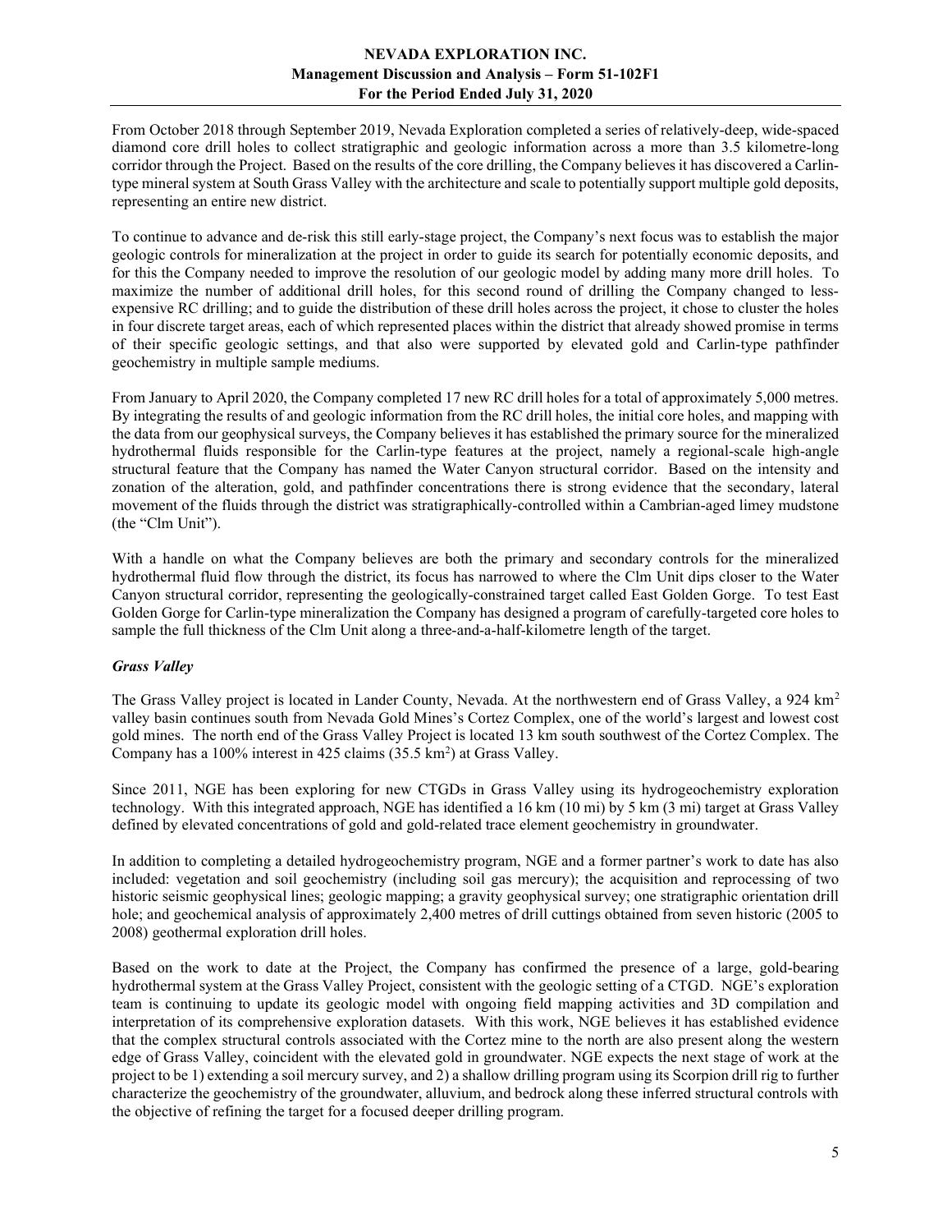From October 2018 through September 2019, Nevada Exploration completed a series of relatively-deep, wide-spaced diamond core drill holes to collect stratigraphic and geologic information across a more than 3.5 kilometre-long corridor through the Project. Based on the results of the core drilling, the Company believes it has discovered a Carlintype mineral system at South Grass Valley with the architecture and scale to potentially support multiple gold deposits, representing an entire new district.

To continue to advance and de-risk this still early-stage project, the Company's next focus was to establish the major geologic controls for mineralization at the project in order to guide its search for potentially economic deposits, and for this the Company needed to improve the resolution of our geologic model by adding many more drill holes. To maximize the number of additional drill holes, for this second round of drilling the Company changed to lessexpensive RC drilling; and to guide the distribution of these drill holes across the project, it chose to cluster the holes in four discrete target areas, each of which represented places within the district that already showed promise in terms of their specific geologic settings, and that also were supported by elevated gold and Carlin-type pathfinder geochemistry in multiple sample mediums.

From January to April 2020, the Company completed 17 new RC drill holes for a total of approximately 5,000 metres. By integrating the results of and geologic information from the RC drill holes, the initial core holes, and mapping with the data from our geophysical surveys, the Company believes it has established the primary source for the mineralized hydrothermal fluids responsible for the Carlin-type features at the project, namely a regional-scale high-angle structural feature that the Company has named the Water Canyon structural corridor. Based on the intensity and zonation of the alteration, gold, and pathfinder concentrations there is strong evidence that the secondary, lateral movement of the fluids through the district was stratigraphically-controlled within a Cambrian-aged limey mudstone (the "Clm Unit").

With a handle on what the Company believes are both the primary and secondary controls for the mineralized hydrothermal fluid flow through the district, its focus has narrowed to where the Clm Unit dips closer to the Water Canyon structural corridor, representing the geologically-constrained target called East Golden Gorge. To test East Golden Gorge for Carlin-type mineralization the Company has designed a program of carefully-targeted core holes to sample the full thickness of the Clm Unit along a three-and-a-half-kilometre length of the target.

# Grass Valley

The Grass Valley project is located in Lander County, Nevada. At the northwestern end of Grass Valley, a 924 km<sup>2</sup> valley basin continues south from Nevada Gold Mines's Cortez Complex, one of the world's largest and lowest cost gold mines. The north end of the Grass Valley Project is located 13 km south southwest of the Cortez Complex. The Company has a  $100\%$  interest in 425 claims (35.5 km<sup>2</sup>) at Grass Valley.

Since 2011, NGE has been exploring for new CTGDs in Grass Valley using its hydrogeochemistry exploration technology. With this integrated approach, NGE has identified a 16 km (10 mi) by 5 km (3 mi) target at Grass Valley defined by elevated concentrations of gold and gold-related trace element geochemistry in groundwater.

In addition to completing a detailed hydrogeochemistry program, NGE and a former partner's work to date has also included: vegetation and soil geochemistry (including soil gas mercury); the acquisition and reprocessing of two historic seismic geophysical lines; geologic mapping; a gravity geophysical survey; one stratigraphic orientation drill hole; and geochemical analysis of approximately 2,400 metres of drill cuttings obtained from seven historic (2005 to 2008) geothermal exploration drill holes.

Based on the work to date at the Project, the Company has confirmed the presence of a large, gold-bearing hydrothermal system at the Grass Valley Project, consistent with the geologic setting of a CTGD. NGE's exploration team is continuing to update its geologic model with ongoing field mapping activities and 3D compilation and interpretation of its comprehensive exploration datasets. With this work, NGE believes it has established evidence that the complex structural controls associated with the Cortez mine to the north are also present along the western edge of Grass Valley, coincident with the elevated gold in groundwater. NGE expects the next stage of work at the project to be 1) extending a soil mercury survey, and 2) a shallow drilling program using its Scorpion drill rig to further characterize the geochemistry of the groundwater, alluvium, and bedrock along these inferred structural controls with the objective of refining the target for a focused deeper drilling program.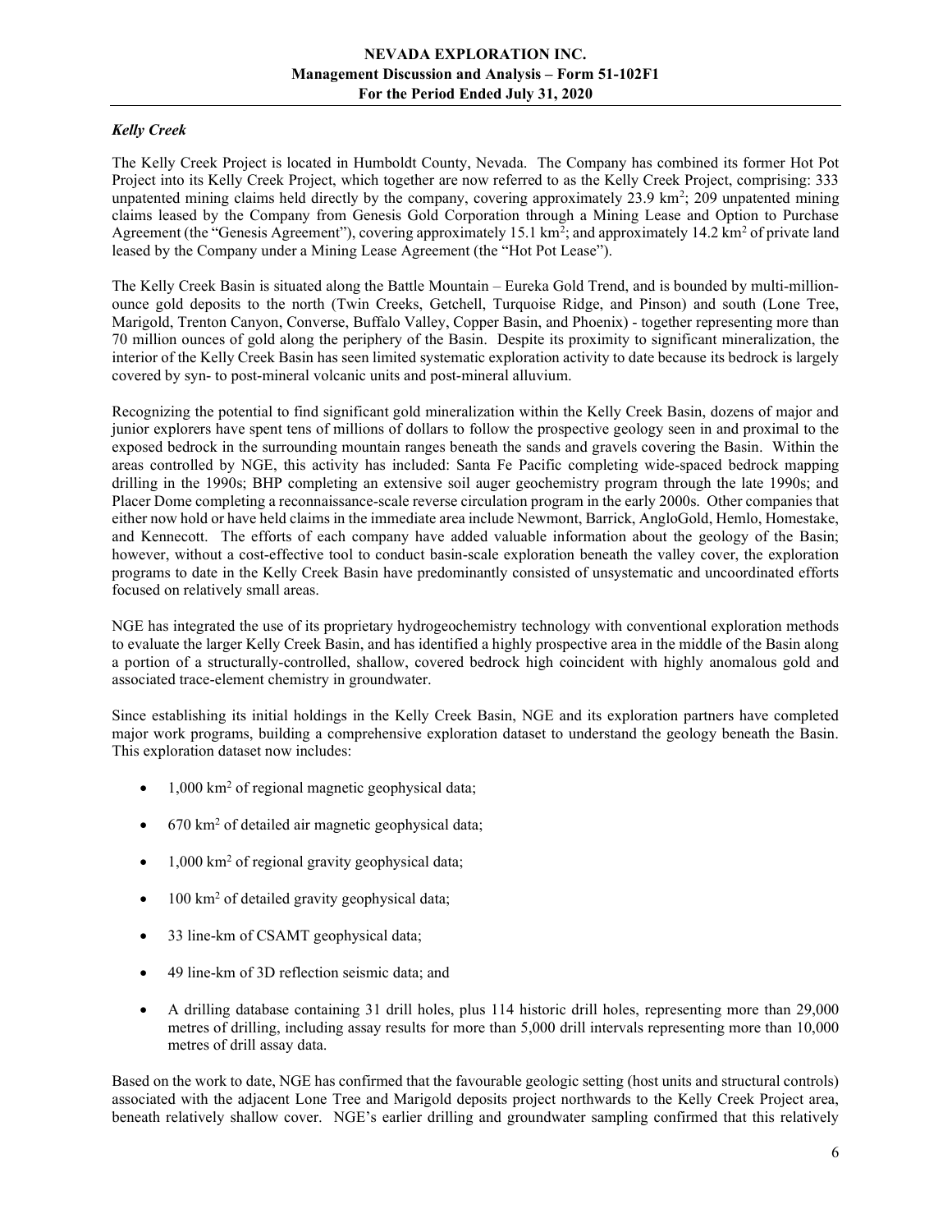# Kelly Creek

The Kelly Creek Project is located in Humboldt County, Nevada. The Company has combined its former Hot Pot Project into its Kelly Creek Project, which together are now referred to as the Kelly Creek Project, comprising: 333 unpatented mining claims held directly by the company, covering approximately 23.9 km<sup>2</sup>; 209 unpatented mining claims leased by the Company from Genesis Gold Corporation through a Mining Lease and Option to Purchase Agreement (the "Genesis Agreement"), covering approximately 15.1 km<sup>2</sup>; and approximately 14.2 km<sup>2</sup> of private land leased by the Company under a Mining Lease Agreement (the "Hot Pot Lease").

The Kelly Creek Basin is situated along the Battle Mountain – Eureka Gold Trend, and is bounded by multi-millionounce gold deposits to the north (Twin Creeks, Getchell, Turquoise Ridge, and Pinson) and south (Lone Tree, Marigold, Trenton Canyon, Converse, Buffalo Valley, Copper Basin, and Phoenix) - together representing more than 70 million ounces of gold along the periphery of the Basin. Despite its proximity to significant mineralization, the interior of the Kelly Creek Basin has seen limited systematic exploration activity to date because its bedrock is largely covered by syn- to post-mineral volcanic units and post-mineral alluvium.

Recognizing the potential to find significant gold mineralization within the Kelly Creek Basin, dozens of major and junior explorers have spent tens of millions of dollars to follow the prospective geology seen in and proximal to the exposed bedrock in the surrounding mountain ranges beneath the sands and gravels covering the Basin. Within the areas controlled by NGE, this activity has included: Santa Fe Pacific completing wide-spaced bedrock mapping drilling in the 1990s; BHP completing an extensive soil auger geochemistry program through the late 1990s; and Placer Dome completing a reconnaissance-scale reverse circulation program in the early 2000s. Other companies that either now hold or have held claims in the immediate area include Newmont, Barrick, AngloGold, Hemlo, Homestake, and Kennecott. The efforts of each company have added valuable information about the geology of the Basin; however, without a cost-effective tool to conduct basin-scale exploration beneath the valley cover, the exploration programs to date in the Kelly Creek Basin have predominantly consisted of unsystematic and uncoordinated efforts focused on relatively small areas.

NGE has integrated the use of its proprietary hydrogeochemistry technology with conventional exploration methods to evaluate the larger Kelly Creek Basin, and has identified a highly prospective area in the middle of the Basin along a portion of a structurally-controlled, shallow, covered bedrock high coincident with highly anomalous gold and associated trace-element chemistry in groundwater.

Since establishing its initial holdings in the Kelly Creek Basin, NGE and its exploration partners have completed major work programs, building a comprehensive exploration dataset to understand the geology beneath the Basin. This exploration dataset now includes:

- 1,000 km<sup>2</sup> of regional magnetic geophysical data;
- 670 km<sup>2</sup> of detailed air magnetic geophysical data;
- 1,000 km<sup>2</sup> of regional gravity geophysical data;
- $\bullet$  100 km<sup>2</sup> of detailed gravity geophysical data;
- 33 line-km of CSAMT geophysical data;
- 49 line-km of 3D reflection seismic data; and
- A drilling database containing 31 drill holes, plus 114 historic drill holes, representing more than 29,000 metres of drilling, including assay results for more than 5,000 drill intervals representing more than 10,000 metres of drill assay data.

Based on the work to date, NGE has confirmed that the favourable geologic setting (host units and structural controls) associated with the adjacent Lone Tree and Marigold deposits project northwards to the Kelly Creek Project area, beneath relatively shallow cover. NGE's earlier drilling and groundwater sampling confirmed that this relatively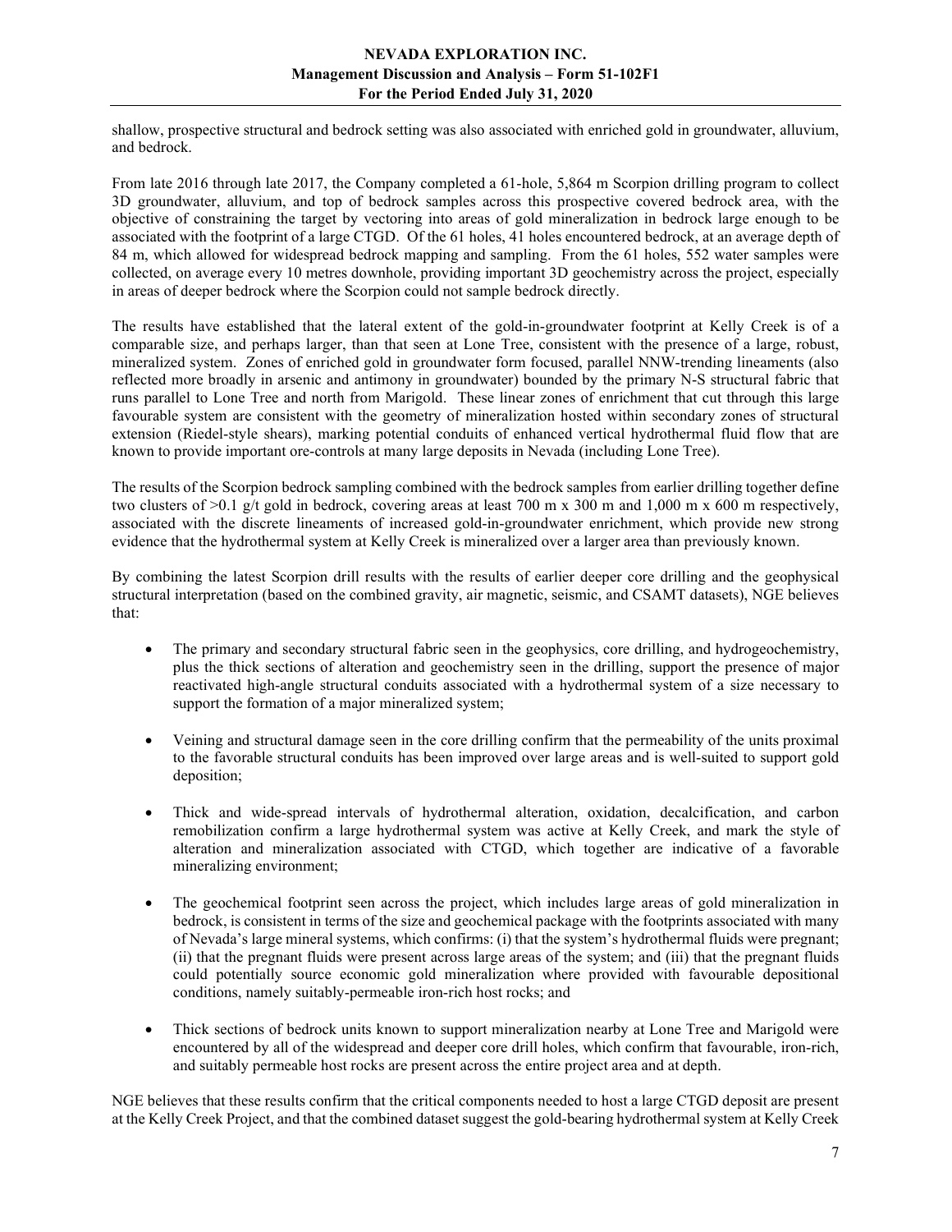shallow, prospective structural and bedrock setting was also associated with enriched gold in groundwater, alluvium, and bedrock.

From late 2016 through late 2017, the Company completed a 61-hole, 5,864 m Scorpion drilling program to collect 3D groundwater, alluvium, and top of bedrock samples across this prospective covered bedrock area, with the objective of constraining the target by vectoring into areas of gold mineralization in bedrock large enough to be associated with the footprint of a large CTGD. Of the 61 holes, 41 holes encountered bedrock, at an average depth of 84 m, which allowed for widespread bedrock mapping and sampling. From the 61 holes, 552 water samples were collected, on average every 10 metres downhole, providing important 3D geochemistry across the project, especially in areas of deeper bedrock where the Scorpion could not sample bedrock directly.

The results have established that the lateral extent of the gold-in-groundwater footprint at Kelly Creek is of a comparable size, and perhaps larger, than that seen at Lone Tree, consistent with the presence of a large, robust, mineralized system. Zones of enriched gold in groundwater form focused, parallel NNW-trending lineaments (also reflected more broadly in arsenic and antimony in groundwater) bounded by the primary N-S structural fabric that runs parallel to Lone Tree and north from Marigold. These linear zones of enrichment that cut through this large favourable system are consistent with the geometry of mineralization hosted within secondary zones of structural extension (Riedel-style shears), marking potential conduits of enhanced vertical hydrothermal fluid flow that are known to provide important ore-controls at many large deposits in Nevada (including Lone Tree).

The results of the Scorpion bedrock sampling combined with the bedrock samples from earlier drilling together define two clusters of  $>0.1$  g/t gold in bedrock, covering areas at least 700 m x 300 m and 1,000 m x 600 m respectively, associated with the discrete lineaments of increased gold-in-groundwater enrichment, which provide new strong evidence that the hydrothermal system at Kelly Creek is mineralized over a larger area than previously known.

By combining the latest Scorpion drill results with the results of earlier deeper core drilling and the geophysical structural interpretation (based on the combined gravity, air magnetic, seismic, and CSAMT datasets), NGE believes that:

- The primary and secondary structural fabric seen in the geophysics, core drilling, and hydrogeochemistry, plus the thick sections of alteration and geochemistry seen in the drilling, support the presence of major reactivated high-angle structural conduits associated with a hydrothermal system of a size necessary to support the formation of a major mineralized system;
- Veining and structural damage seen in the core drilling confirm that the permeability of the units proximal to the favorable structural conduits has been improved over large areas and is well-suited to support gold deposition;
- Thick and wide-spread intervals of hydrothermal alteration, oxidation, decalcification, and carbon remobilization confirm a large hydrothermal system was active at Kelly Creek, and mark the style of alteration and mineralization associated with CTGD, which together are indicative of a favorable mineralizing environment;
- The geochemical footprint seen across the project, which includes large areas of gold mineralization in bedrock, is consistent in terms of the size and geochemical package with the footprints associated with many of Nevada's large mineral systems, which confirms: (i) that the system's hydrothermal fluids were pregnant; (ii) that the pregnant fluids were present across large areas of the system; and (iii) that the pregnant fluids could potentially source economic gold mineralization where provided with favourable depositional conditions, namely suitably-permeable iron-rich host rocks; and
- Thick sections of bedrock units known to support mineralization nearby at Lone Tree and Marigold were encountered by all of the widespread and deeper core drill holes, which confirm that favourable, iron-rich, and suitably permeable host rocks are present across the entire project area and at depth.

NGE believes that these results confirm that the critical components needed to host a large CTGD deposit are present at the Kelly Creek Project, and that the combined dataset suggest the gold-bearing hydrothermal system at Kelly Creek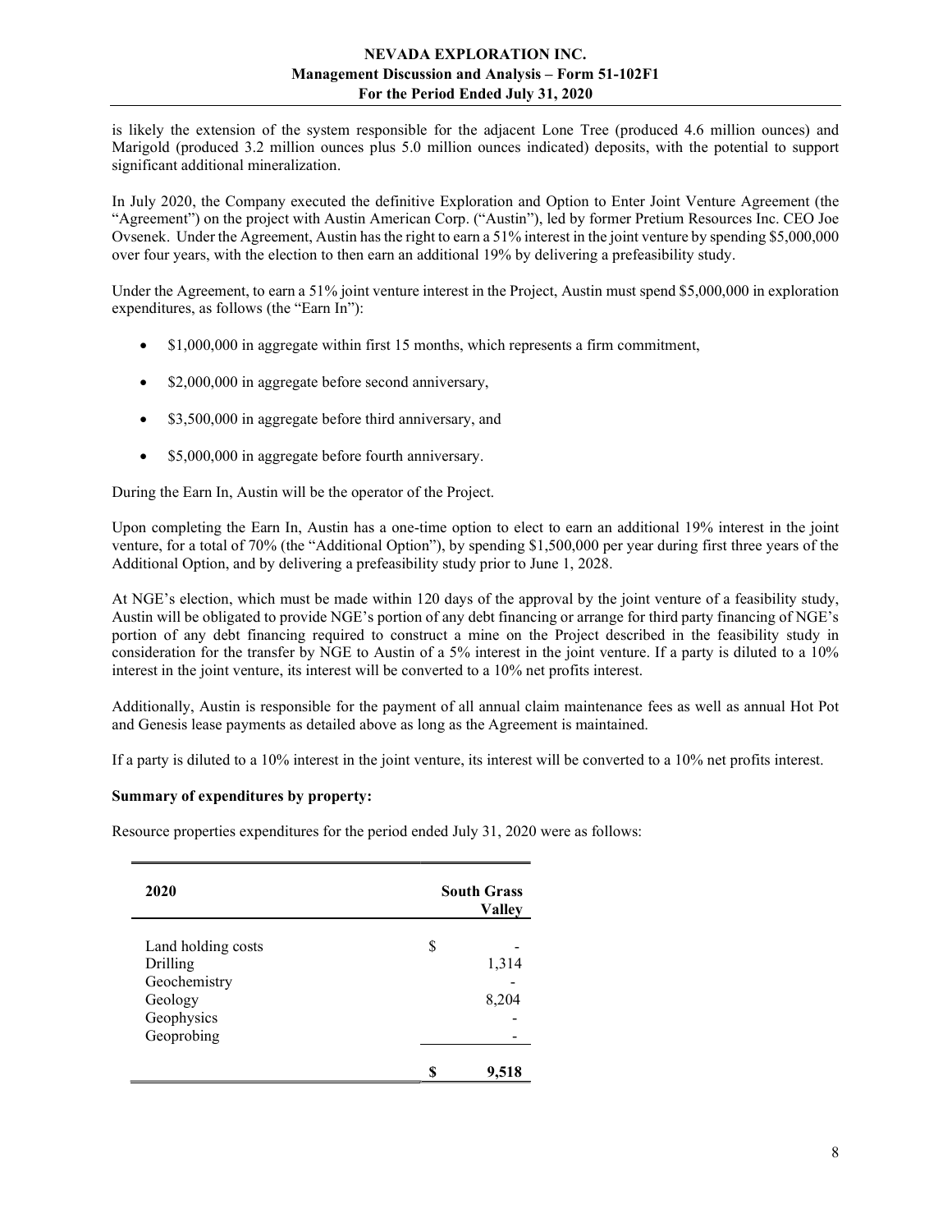is likely the extension of the system responsible for the adjacent Lone Tree (produced 4.6 million ounces) and Marigold (produced 3.2 million ounces plus 5.0 million ounces indicated) deposits, with the potential to support significant additional mineralization.

In July 2020, the Company executed the definitive Exploration and Option to Enter Joint Venture Agreement (the "Agreement") on the project with Austin American Corp. ("Austin"), led by former Pretium Resources Inc. CEO Joe Ovsenek. Under the Agreement, Austin has the right to earn a 51% interest in the joint venture by spending \$5,000,000 over four years, with the election to then earn an additional 19% by delivering a prefeasibility study.

Under the Agreement, to earn a 51% joint venture interest in the Project, Austin must spend \$5,000,000 in exploration expenditures, as follows (the "Earn In"):

- \$1,000,000 in aggregate within first 15 months, which represents a firm commitment,
- \$2,000,000 in aggregate before second anniversary,
- \$3,500,000 in aggregate before third anniversary, and
- \$5,000,000 in aggregate before fourth anniversary.

During the Earn In, Austin will be the operator of the Project.

Upon completing the Earn In, Austin has a one-time option to elect to earn an additional 19% interest in the joint venture, for a total of 70% (the "Additional Option"), by spending \$1,500,000 per year during first three years of the Additional Option, and by delivering a prefeasibility study prior to June 1, 2028.

At NGE's election, which must be made within 120 days of the approval by the joint venture of a feasibility study, Austin will be obligated to provide NGE's portion of any debt financing or arrange for third party financing of NGE's portion of any debt financing required to construct a mine on the Project described in the feasibility study in consideration for the transfer by NGE to Austin of a 5% interest in the joint venture. If a party is diluted to a 10% interest in the joint venture, its interest will be converted to a 10% net profits interest.

Additionally, Austin is responsible for the payment of all annual claim maintenance fees as well as annual Hot Pot and Genesis lease payments as detailed above as long as the Agreement is maintained.

If a party is diluted to a 10% interest in the joint venture, its interest will be converted to a 10% net profits interest.

# Summary of expenditures by property:

Resource properties expenditures for the period ended July 31, 2020 were as follows:

| 2020               | <b>South Grass</b><br><b>Valley</b> |
|--------------------|-------------------------------------|
| Land holding costs | \$                                  |
| Drilling           | 1,314                               |
| Geochemistry       |                                     |
| Geology            | 8,204                               |
| Geophysics         |                                     |
| Geoprobing         |                                     |
|                    |                                     |
|                    | 9,518                               |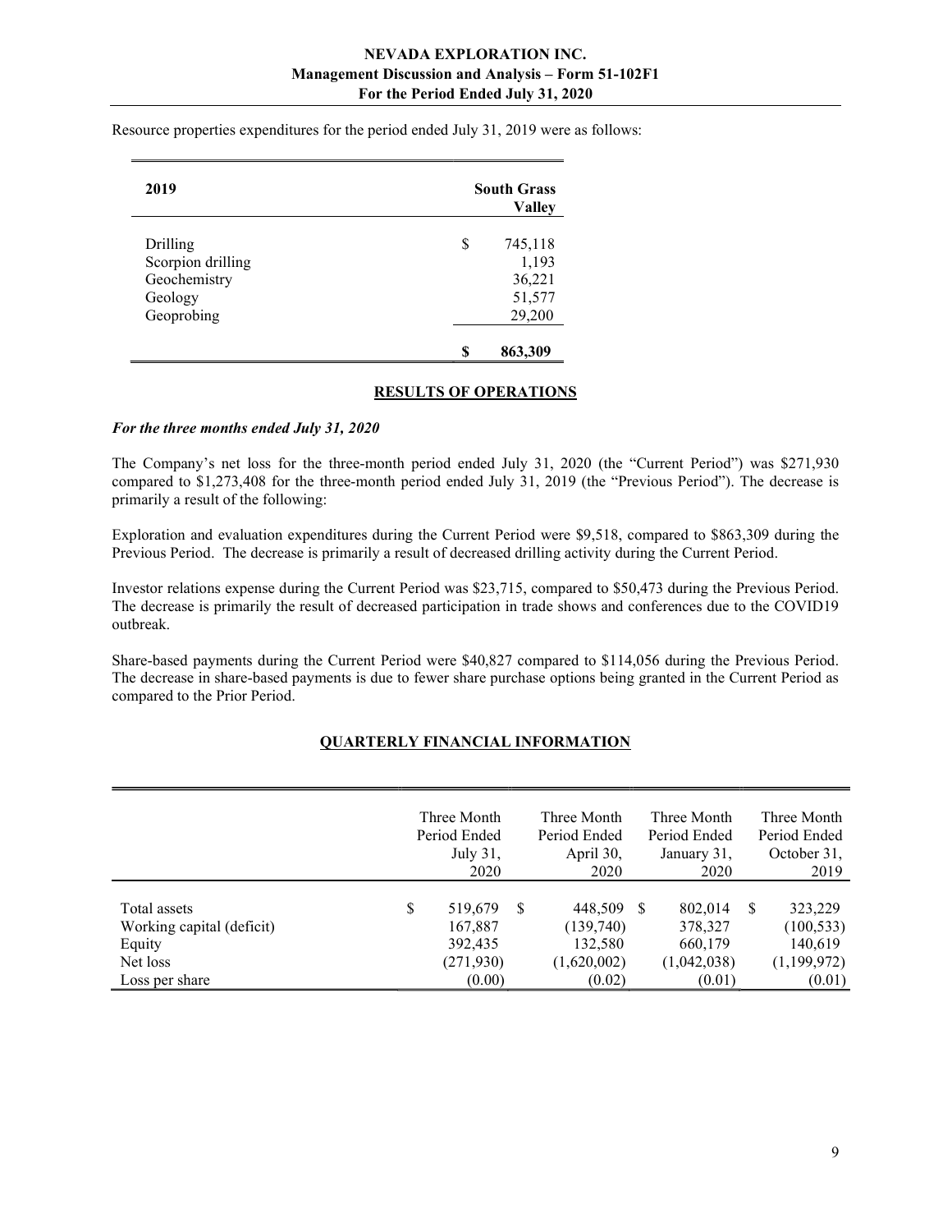| 2019              | <b>South Grass</b><br><b>Valley</b> |
|-------------------|-------------------------------------|
| Drilling          | \$<br>745,118                       |
| Scorpion drilling | 1,193                               |
| Geochemistry      | 36,221                              |
| Geology           | 51,577                              |
| Geoprobing        | 29,200                              |
|                   | \$<br>863,309                       |

Resource properties expenditures for the period ended July 31, 2019 were as follows:

#### RESULTS OF OPERATIONS

#### For the three months ended July 31, 2020

The Company's net loss for the three-month period ended July 31, 2020 (the "Current Period") was \$271,930 compared to \$1,273,408 for the three-month period ended July 31, 2019 (the "Previous Period"). The decrease is primarily a result of the following:

Exploration and evaluation expenditures during the Current Period were \$9,518, compared to \$863,309 during the Previous Period. The decrease is primarily a result of decreased drilling activity during the Current Period.

Investor relations expense during the Current Period was \$23,715, compared to \$50,473 during the Previous Period. The decrease is primarily the result of decreased participation in trade shows and conferences due to the COVID19 outbreak.

Share-based payments during the Current Period were \$40,827 compared to \$114,056 during the Previous Period. The decrease in share-based payments is due to fewer share purchase options being granted in the Current Period as compared to the Prior Period.

# QUARTERLY FINANCIAL INFORMATION

|                           | Three Month   |          | Three Month  |     | Three Month  |          | Three Month  |
|---------------------------|---------------|----------|--------------|-----|--------------|----------|--------------|
|                           | Period Ended  |          | Period Ended |     | Period Ended |          | Period Ended |
|                           | July 31,      |          | April 30,    |     | January 31,  |          | October 31,  |
|                           | 2020          |          | 2020         |     | 2020         |          | 2019         |
|                           |               |          |              |     |              |          |              |
| Total assets              | \$<br>519,679 | <b>S</b> | 448,509      | - S | 802,014      | <b>S</b> | 323,229      |
| Working capital (deficit) | 167,887       |          | (139,740)    |     | 378,327      |          | (100, 533)   |
| Equity                    | 392,435       |          | 132,580      |     | 660,179      |          | 140,619      |
| Net loss                  | (271, 930)    |          | (1,620,002)  |     | (1,042,038)  |          | (1,199,972)  |
| Loss per share            | (0.00)        |          | (0.02)       |     | (0.01)       |          | (0.01)       |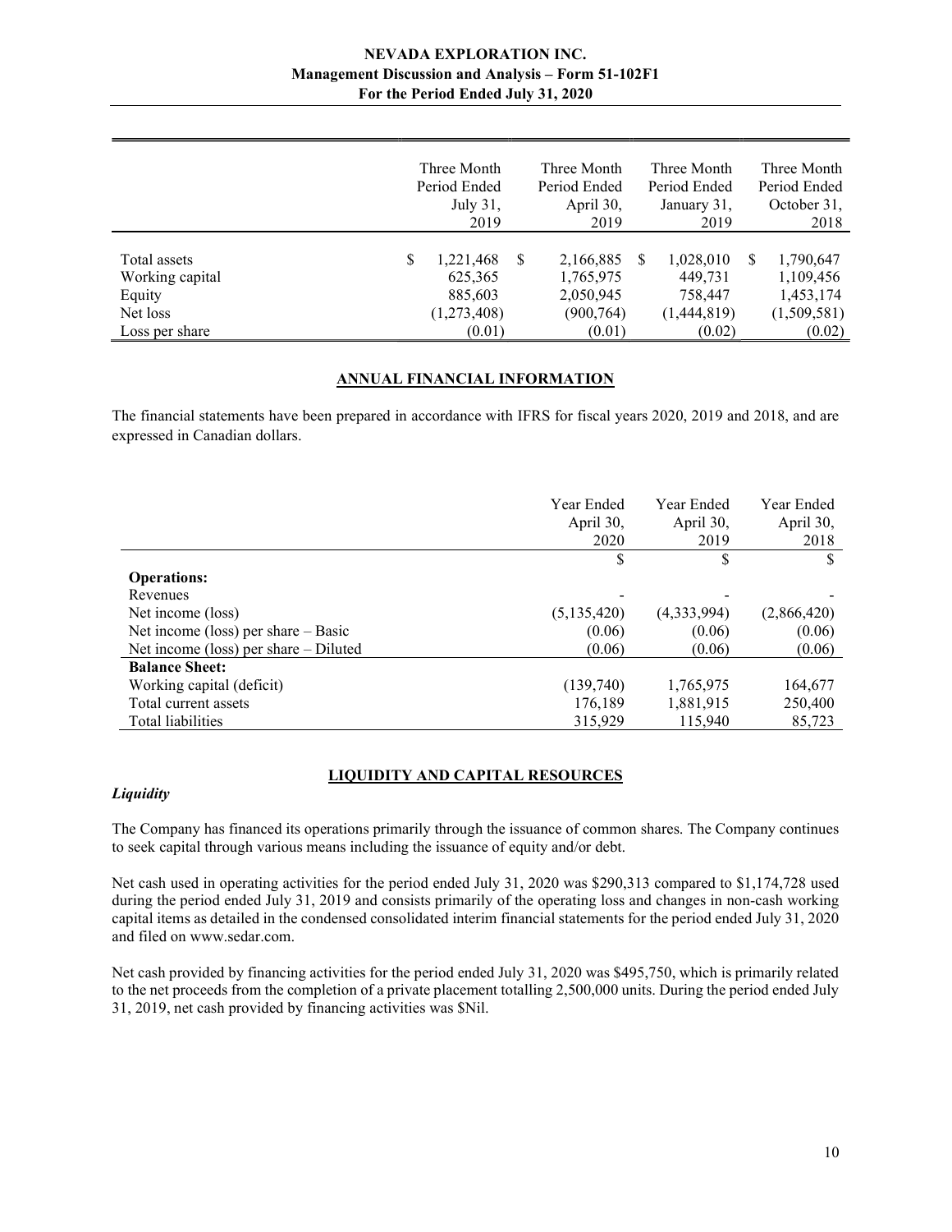|                                                                         | July 31,<br>2019                                               |   | Period Ended<br>April 30,<br>2019                           |     | Period Ended<br>January 31,<br>2019                      |   | Period Ended<br>October 31,<br>2018                          |
|-------------------------------------------------------------------------|----------------------------------------------------------------|---|-------------------------------------------------------------|-----|----------------------------------------------------------|---|--------------------------------------------------------------|
| Total assets<br>Working capital<br>Equity<br>Net loss<br>Loss per share | \$<br>1,221,468<br>625,365<br>885,603<br>(1,273,408)<br>(0.01) | S | 2,166,885<br>1,765,975<br>2,050,945<br>(900, 764)<br>(0.01) | \$. | 1,028,010<br>449,731<br>758,447<br>(1,444,819)<br>(0.02) | S | 1,790,647<br>1,109,456<br>1,453,174<br>(1,509,581)<br>(0.02) |

# ANNUAL FINANCIAL INFORMATION

The financial statements have been prepared in accordance with IFRS for fiscal years 2020, 2019 and 2018, and are expressed in Canadian dollars.

|                                         | Year Ended  | Year Ended  | Year Ended  |
|-----------------------------------------|-------------|-------------|-------------|
|                                         | April 30,   | April 30,   | April 30,   |
|                                         | 2020        | 2019        | 2018        |
|                                         | \$          | S           | \$          |
| <b>Operations:</b>                      |             |             |             |
| Revenues                                |             |             |             |
| Net income (loss)                       | (5,135,420) | (4,333,994) | (2,866,420) |
| Net income (loss) per share $-$ Basic   | (0.06)      | (0.06)      | (0.06)      |
| Net income (loss) per share $-$ Diluted | (0.06)      | (0.06)      | (0.06)      |
| <b>Balance Sheet:</b>                   |             |             |             |
| Working capital (deficit)               | (139,740)   | 1,765,975   | 164,677     |
| Total current assets                    | 176,189     | 1,881,915   | 250,400     |
| Total liabilities                       | 315,929     | 115,940     | 85,723      |

# LIQUIDITY AND CAPITAL RESOURCES

# **Liquidity**

The Company has financed its operations primarily through the issuance of common shares. The Company continues to seek capital through various means including the issuance of equity and/or debt.

Net cash used in operating activities for the period ended July 31, 2020 was \$290,313 compared to \$1,174,728 used during the period ended July 31, 2019 and consists primarily of the operating loss and changes in non-cash working capital items as detailed in the condensed consolidated interim financial statements for the period ended July 31, 2020 and filed on www.sedar.com.

Net cash provided by financing activities for the period ended July 31, 2020 was \$495,750, which is primarily related to the net proceeds from the completion of a private placement totalling 2,500,000 units. During the period ended July 31, 2019, net cash provided by financing activities was \$Nil.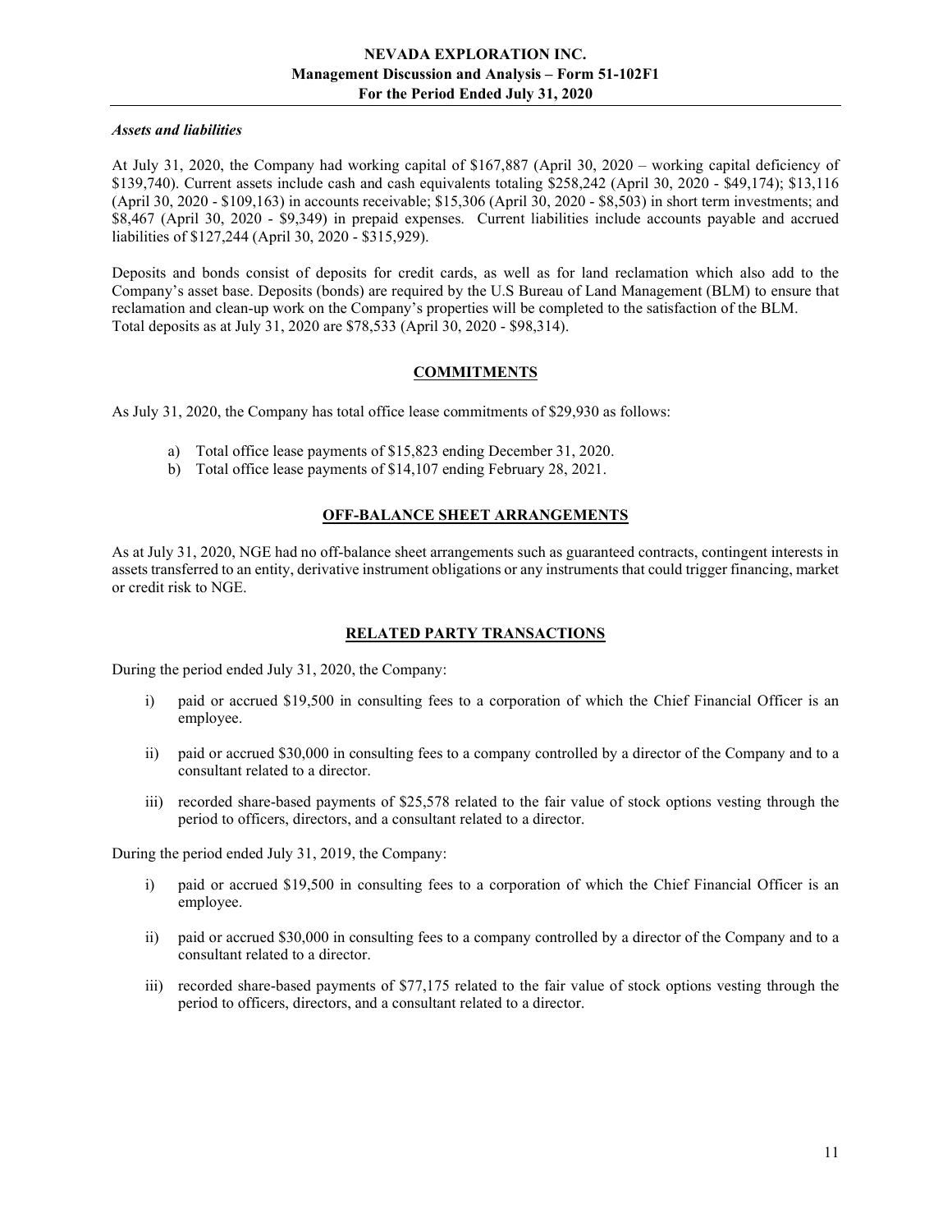## Assets and liabilities

At July 31, 2020, the Company had working capital of \$167,887 (April 30, 2020 – working capital deficiency of \$139,740). Current assets include cash and cash equivalents totaling \$258,242 (April 30, 2020 - \$49,174); \$13,116 (April 30, 2020 - \$109,163) in accounts receivable; \$15,306 (April 30, 2020 - \$8,503) in short term investments; and \$8,467 (April 30, 2020 - \$9,349) in prepaid expenses. Current liabilities include accounts payable and accrued liabilities of \$127,244 (April 30, 2020 - \$315,929).

Deposits and bonds consist of deposits for credit cards, as well as for land reclamation which also add to the Company's asset base. Deposits (bonds) are required by the U.S Bureau of Land Management (BLM) to ensure that reclamation and clean-up work on the Company's properties will be completed to the satisfaction of the BLM. Total deposits as at July 31, 2020 are \$78,533 (April 30, 2020 - \$98,314).

# COMMITMENTS

As July 31, 2020, the Company has total office lease commitments of \$29,930 as follows:

- a) Total office lease payments of \$15,823 ending December 31, 2020.
- b) Total office lease payments of \$14,107 ending February 28, 2021.

#### OFF-BALANCE SHEET ARRANGEMENTS

As at July 31, 2020, NGE had no off-balance sheet arrangements such as guaranteed contracts, contingent interests in assets transferred to an entity, derivative instrument obligations or any instruments that could trigger financing, market or credit risk to NGE.

# RELATED PARTY TRANSACTIONS

During the period ended July 31, 2020, the Company:

- i) paid or accrued \$19,500 in consulting fees to a corporation of which the Chief Financial Officer is an employee.
- ii) paid or accrued \$30,000 in consulting fees to a company controlled by a director of the Company and to a consultant related to a director.
- iii) recorded share-based payments of \$25,578 related to the fair value of stock options vesting through the period to officers, directors, and a consultant related to a director.

During the period ended July 31, 2019, the Company:

- i) paid or accrued \$19,500 in consulting fees to a corporation of which the Chief Financial Officer is an employee.
- ii) paid or accrued \$30,000 in consulting fees to a company controlled by a director of the Company and to a consultant related to a director.
- iii) recorded share-based payments of \$77,175 related to the fair value of stock options vesting through the period to officers, directors, and a consultant related to a director.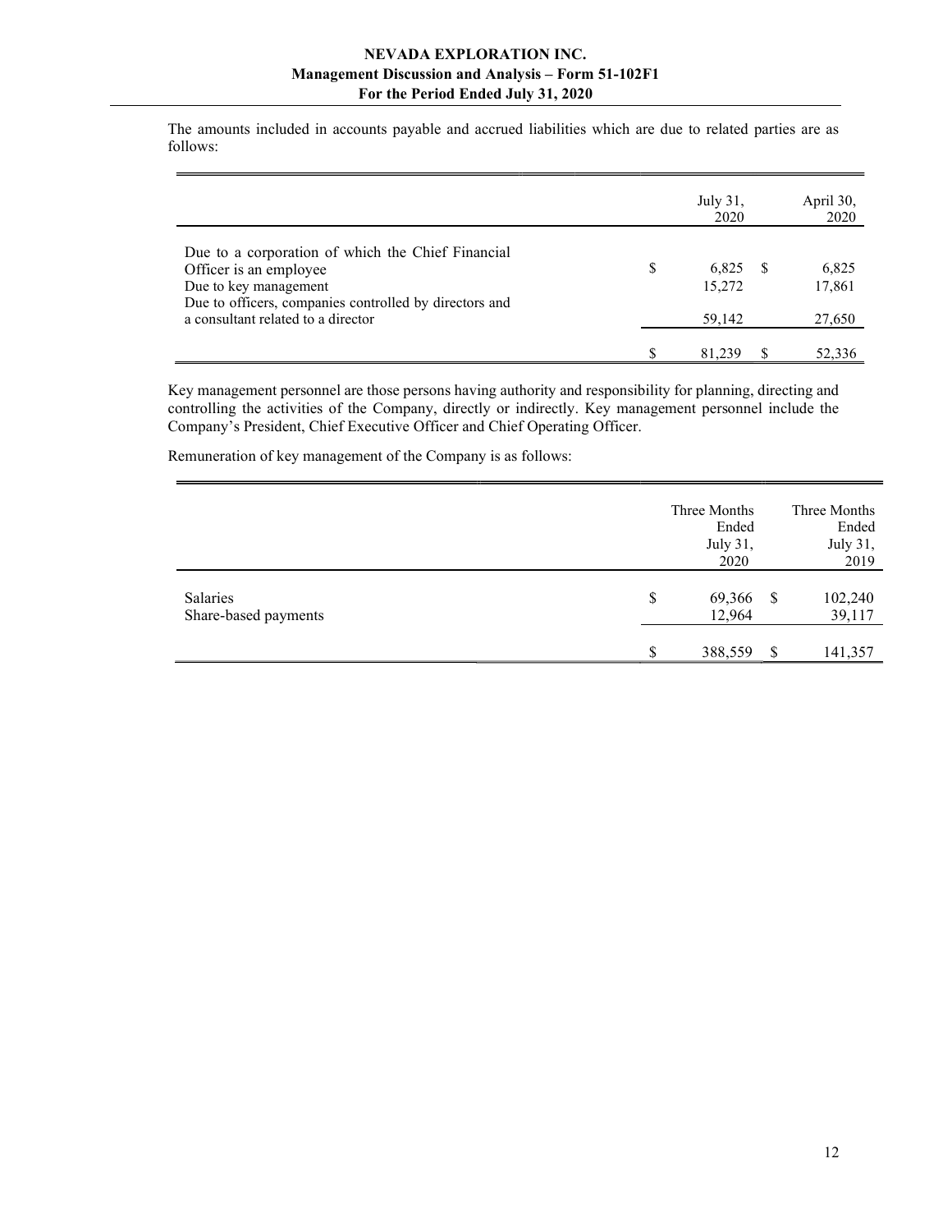The amounts included in accounts payable and accrued liabilities which are due to related parties are as follows:

|                                                                                                                                                                                                      | July 31,<br>2020                |     | April 30,<br>2020         |
|------------------------------------------------------------------------------------------------------------------------------------------------------------------------------------------------------|---------------------------------|-----|---------------------------|
| Due to a corporation of which the Chief Financial<br>Officer is an employee<br>Due to key management<br>Due to officers, companies controlled by directors and<br>a consultant related to a director | \$<br>6,825<br>15,272<br>59,142 | - S | 6,825<br>17,861<br>27,650 |
|                                                                                                                                                                                                      | 81.239                          |     | 52,336                    |

Key management personnel are those persons having authority and responsibility for planning, directing and controlling the activities of the Company, directly or indirectly. Key management personnel include the Company's President, Chief Executive Officer and Chief Operating Officer.

Remuneration of key management of the Company is as follows:

|                                  | Three Months<br>Ended<br>July 31,<br>2020 |              | Three Months<br>Ended<br>July 31,<br>2019 |
|----------------------------------|-------------------------------------------|--------------|-------------------------------------------|
| Salaries<br>Share-based payments | \$<br>69,366<br>12,964                    | <sup>S</sup> | 102,240<br>39,117                         |
|                                  | \$<br>388,559                             | -S           | 141,357                                   |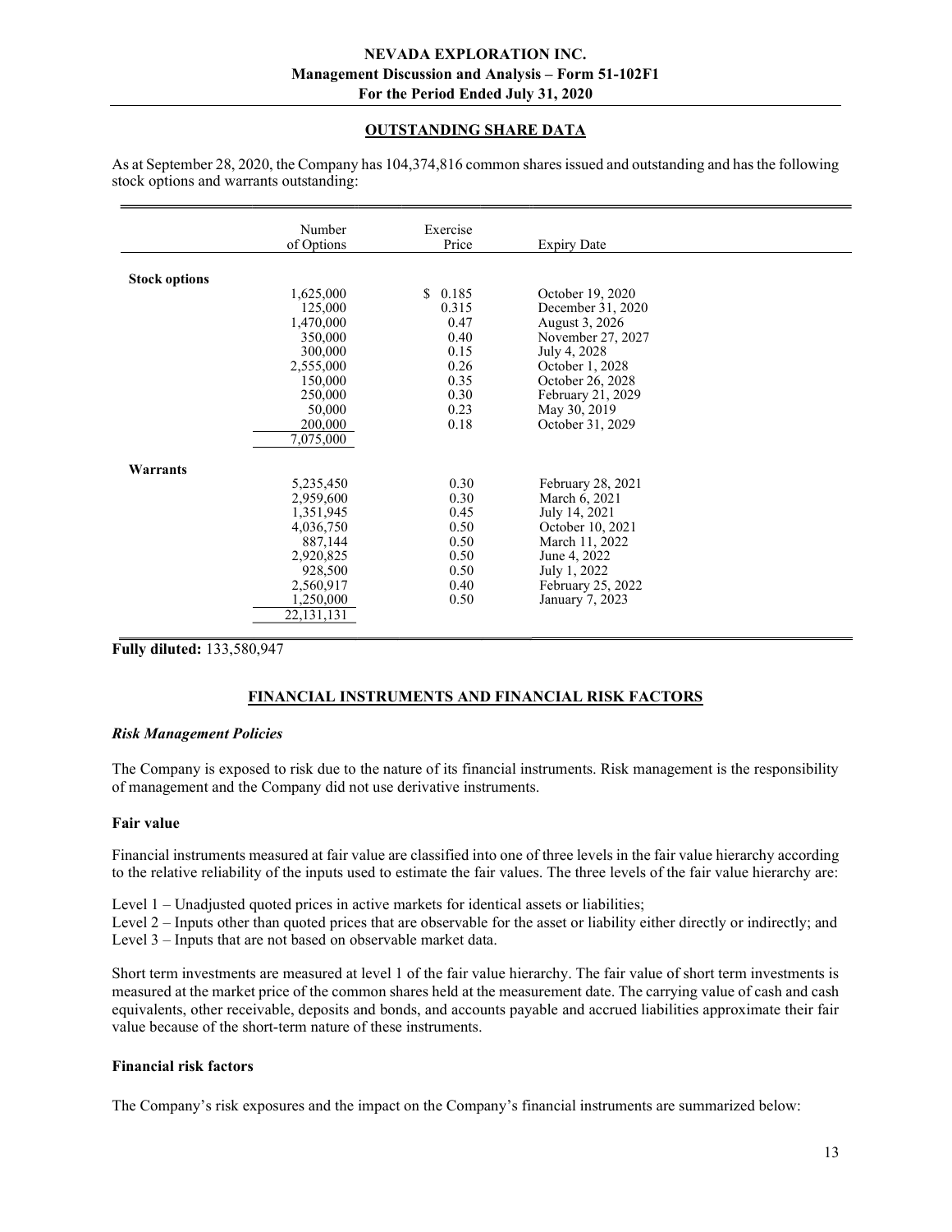# OUTSTANDING SHARE DATA

|                      | Number<br>of Options   | Exercise<br>Price | <b>Expiry Date</b> |  |
|----------------------|------------------------|-------------------|--------------------|--|
|                      |                        |                   |                    |  |
| <b>Stock options</b> |                        |                   |                    |  |
|                      | 1,625,000              | \$0.185           | October 19, 2020   |  |
|                      | 125,000                | 0.315             | December 31, 2020  |  |
|                      | 1,470,000              | 0.47              | August 3, 2026     |  |
|                      | 350,000                | 0.40              | November 27, 2027  |  |
|                      | 300,000                | 0.15              | July 4, 2028       |  |
|                      | 2,555,000              | 0.26              | October 1, 2028    |  |
|                      | 150,000                | 0.35              | October 26, 2028   |  |
|                      | 250,000                | 0.30              | February 21, 2029  |  |
|                      | 50,000                 | 0.23              | May 30, 2019       |  |
|                      | 200,000                | 0.18              | October 31, 2029   |  |
|                      | $\overline{7,075,000}$ |                   |                    |  |
| Warrants             |                        |                   |                    |  |
|                      | 5,235,450              | 0.30              | February 28, 2021  |  |
|                      | 2,959,600              | 0.30              | March 6, 2021      |  |
|                      | 1,351,945              | 0.45              | July 14, 2021      |  |
|                      | 4,036,750              | 0.50              | October 10, 2021   |  |
|                      | 887,144                | 0.50              | March 11, 2022     |  |
|                      | 2,920,825              | 0.50              | June 4, 2022       |  |
|                      | 928,500                | 0.50              | July 1, 2022       |  |
|                      | 2,560,917              | 0.40              | February 25, 2022  |  |
|                      | 1,250,000              | 0.50              | January 7, 2023    |  |
|                      | 22,131,131             |                   |                    |  |
|                      |                        |                   |                    |  |

As at September 28, 2020, the Company has 104,374,816 common shares issued and outstanding and has the following stock options and warrants outstanding:

Fully diluted: 133,580,947

# FINANCIAL INSTRUMENTS AND FINANCIAL RISK FACTORS

#### Risk Management Policies

The Company is exposed to risk due to the nature of its financial instruments. Risk management is the responsibility of management and the Company did not use derivative instruments.

#### Fair value

Financial instruments measured at fair value are classified into one of three levels in the fair value hierarchy according to the relative reliability of the inputs used to estimate the fair values. The three levels of the fair value hierarchy are:

Level 1 – Unadjusted quoted prices in active markets for identical assets or liabilities;

Level 2 – Inputs other than quoted prices that are observable for the asset or liability either directly or indirectly; and Level 3 – Inputs that are not based on observable market data.

Short term investments are measured at level 1 of the fair value hierarchy. The fair value of short term investments is measured at the market price of the common shares held at the measurement date. The carrying value of cash and cash equivalents, other receivable, deposits and bonds, and accounts payable and accrued liabilities approximate their fair value because of the short-term nature of these instruments.

# Financial risk factors

The Company's risk exposures and the impact on the Company's financial instruments are summarized below: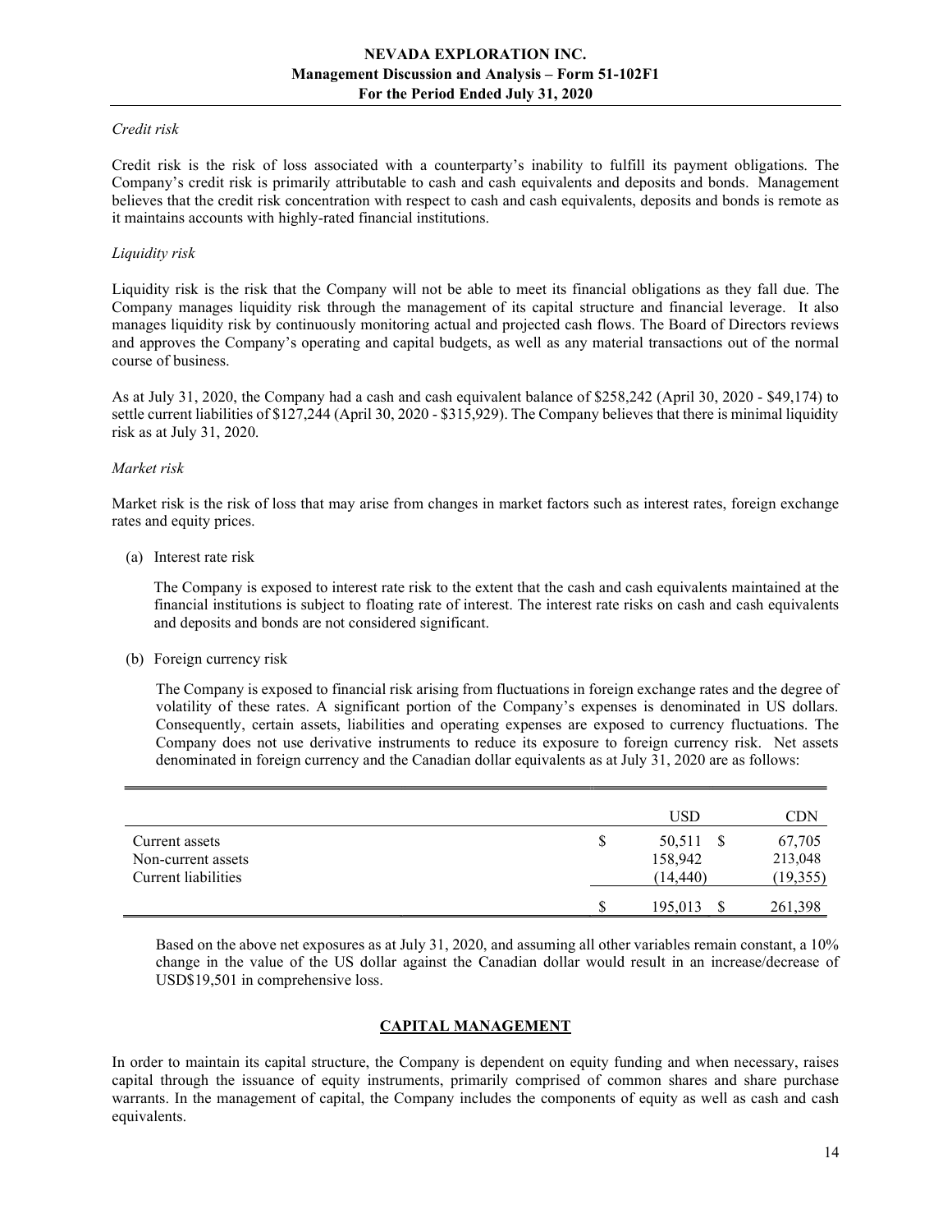#### Credit risk

Credit risk is the risk of loss associated with a counterparty's inability to fulfill its payment obligations. The Company's credit risk is primarily attributable to cash and cash equivalents and deposits and bonds. Management believes that the credit risk concentration with respect to cash and cash equivalents, deposits and bonds is remote as it maintains accounts with highly-rated financial institutions.

#### Liquidity risk

Liquidity risk is the risk that the Company will not be able to meet its financial obligations as they fall due. The Company manages liquidity risk through the management of its capital structure and financial leverage. It also manages liquidity risk by continuously monitoring actual and projected cash flows. The Board of Directors reviews and approves the Company's operating and capital budgets, as well as any material transactions out of the normal course of business.

As at July 31, 2020, the Company had a cash and cash equivalent balance of \$258,242 (April 30, 2020 - \$49,174) to settle current liabilities of \$127,244 (April 30, 2020 - \$315,929). The Company believes that there is minimal liquidity risk as at July 31, 2020.

#### Market risk

Market risk is the risk of loss that may arise from changes in market factors such as interest rates, foreign exchange rates and equity prices.

#### (a) Interest rate risk

 The Company is exposed to interest rate risk to the extent that the cash and cash equivalents maintained at the financial institutions is subject to floating rate of interest. The interest rate risks on cash and cash equivalents and deposits and bonds are not considered significant.

#### (b) Foreign currency risk

The Company is exposed to financial risk arising from fluctuations in foreign exchange rates and the degree of volatility of these rates. A significant portion of the Company's expenses is denominated in US dollars. Consequently, certain assets, liabilities and operating expenses are exposed to currency fluctuations. The Company does not use derivative instruments to reduce its exposure to foreign currency risk. Net assets denominated in foreign currency and the Canadian dollar equivalents as at July 31, 2020 are as follows:

|                     |   | USD          | CDN       |
|---------------------|---|--------------|-----------|
| Current assets      | S | 50,511 \$    | 67,705    |
| Non-current assets  |   | 158,942      | 213,048   |
| Current liabilities |   | (14, 440)    | (19, 355) |
|                     | S | $195,013$ \$ | 261,398   |

Based on the above net exposures as at July 31, 2020, and assuming all other variables remain constant, a 10% change in the value of the US dollar against the Canadian dollar would result in an increase/decrease of USD\$19,501 in comprehensive loss.

# CAPITAL MANAGEMENT

In order to maintain its capital structure, the Company is dependent on equity funding and when necessary, raises capital through the issuance of equity instruments, primarily comprised of common shares and share purchase warrants. In the management of capital, the Company includes the components of equity as well as cash and cash equivalents.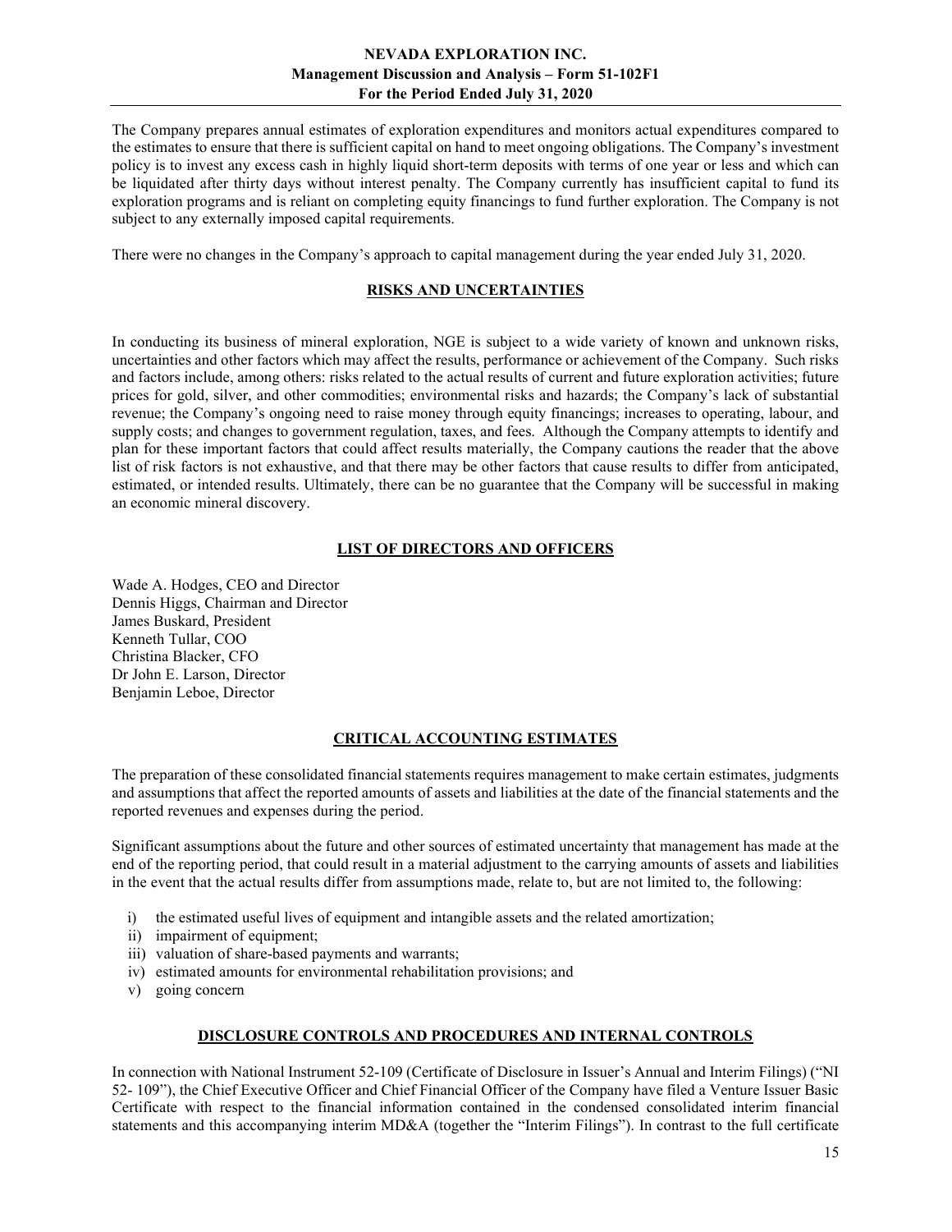The Company prepares annual estimates of exploration expenditures and monitors actual expenditures compared to the estimates to ensure that there is sufficient capital on hand to meet ongoing obligations. The Company's investment policy is to invest any excess cash in highly liquid short-term deposits with terms of one year or less and which can be liquidated after thirty days without interest penalty. The Company currently has insufficient capital to fund its exploration programs and is reliant on completing equity financings to fund further exploration. The Company is not subject to any externally imposed capital requirements.

There were no changes in the Company's approach to capital management during the year ended July 31, 2020.

## RISKS AND UNCERTAINTIES

In conducting its business of mineral exploration, NGE is subject to a wide variety of known and unknown risks, uncertainties and other factors which may affect the results, performance or achievement of the Company. Such risks and factors include, among others: risks related to the actual results of current and future exploration activities; future prices for gold, silver, and other commodities; environmental risks and hazards; the Company's lack of substantial revenue; the Company's ongoing need to raise money through equity financings; increases to operating, labour, and supply costs; and changes to government regulation, taxes, and fees. Although the Company attempts to identify and plan for these important factors that could affect results materially, the Company cautions the reader that the above list of risk factors is not exhaustive, and that there may be other factors that cause results to differ from anticipated, estimated, or intended results. Ultimately, there can be no guarantee that the Company will be successful in making an economic mineral discovery.

#### LIST OF DIRECTORS AND OFFICERS

Wade A. Hodges, CEO and Director Dennis Higgs, Chairman and Director James Buskard, President Kenneth Tullar, COO Christina Blacker, CFO Dr John E. Larson, Director Benjamin Leboe, Director

#### CRITICAL ACCOUNTING ESTIMATES

The preparation of these consolidated financial statements requires management to make certain estimates, judgments and assumptions that affect the reported amounts of assets and liabilities at the date of the financial statements and the reported revenues and expenses during the period.

Significant assumptions about the future and other sources of estimated uncertainty that management has made at the end of the reporting period, that could result in a material adjustment to the carrying amounts of assets and liabilities in the event that the actual results differ from assumptions made, relate to, but are not limited to, the following:

- i) the estimated useful lives of equipment and intangible assets and the related amortization;
- ii) impairment of equipment;
- iii) valuation of share-based payments and warrants;
- iv) estimated amounts for environmental rehabilitation provisions; and
- v) going concern

### DISCLOSURE CONTROLS AND PROCEDURES AND INTERNAL CONTROLS

In connection with National Instrument 52-109 (Certificate of Disclosure in Issuer's Annual and Interim Filings) ("NI 52- 109"), the Chief Executive Officer and Chief Financial Officer of the Company have filed a Venture Issuer Basic Certificate with respect to the financial information contained in the condensed consolidated interim financial statements and this accompanying interim MD&A (together the "Interim Filings"). In contrast to the full certificate